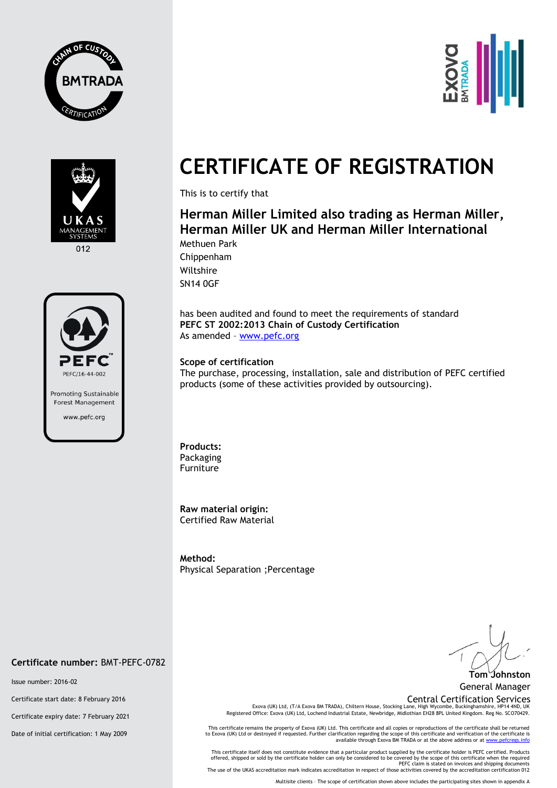







# **CERTIFICATE OF REGISTRATION**

This is to certify that

## **Herman Miller Limited also trading as Herman Miller, Herman Miller UK and Herman Miller International** Methuen Park

Chippenham Wiltshire SN14 0GF

has been audited and found to meet the requirements of standard **PEFC ST 2002:2013 Chain of Custody Certification** As amended – [www.pefc.org](http://www.pefc.org/)

### **Scope of certification**

The purchase, processing, installation, sale and distribution of PEFC certified products (some of these activities provided by outsourcing).

**Products:**  Packaging Furniture

**Raw material origin:** Certified Raw Material

**Method:**  Physical Separation ;Percentage

#### **Certificate number:** BMT-PEFC-0782

Issue number: 2016-02

Certificate start date: 8 February 2016

Certificate expiry date: 7 February 2021

Date of initial certification: 1 May 2009

**Tom Johnston**

General Manager

Central Certification Services<br>Exova (UK) Ltd, (T/A Exova BM TRADA), Chiltern House, Stocking Lane, High Wycombe, Buckinghamshire, HP14 4ND, UK Registered Office: Exova (UK) Ltd, Lochend Industrial Estate, Newbridge, Midlothian EH28 8PL United Kingdom. Reg No. SCO70429.

This certificate remains the property of Exova (UK) Ltd. This certificate and all copies or reproductions of the certificate shall be returned to Exova (UK) Ltd or destroyed if requested. Further clarification regarding the scope of this certificate and verification of the certificate is<br>available through Exova BM TRADA or at the above address or at <u>www.pefcregs</u>

This certificate itself does not constitute evidence that a particular product supplied by the certificate holder is PEFC certified. Products offered, shipped or sold by the certificate holder can only be considered to be covered by the scope of this certificate when the required<br>PEFC claim is stated on invoices and shipping documents<br>The use of the UKAS accredi

Multisite clients – The scope of certification shown above includes the participating sites shown in appendix A